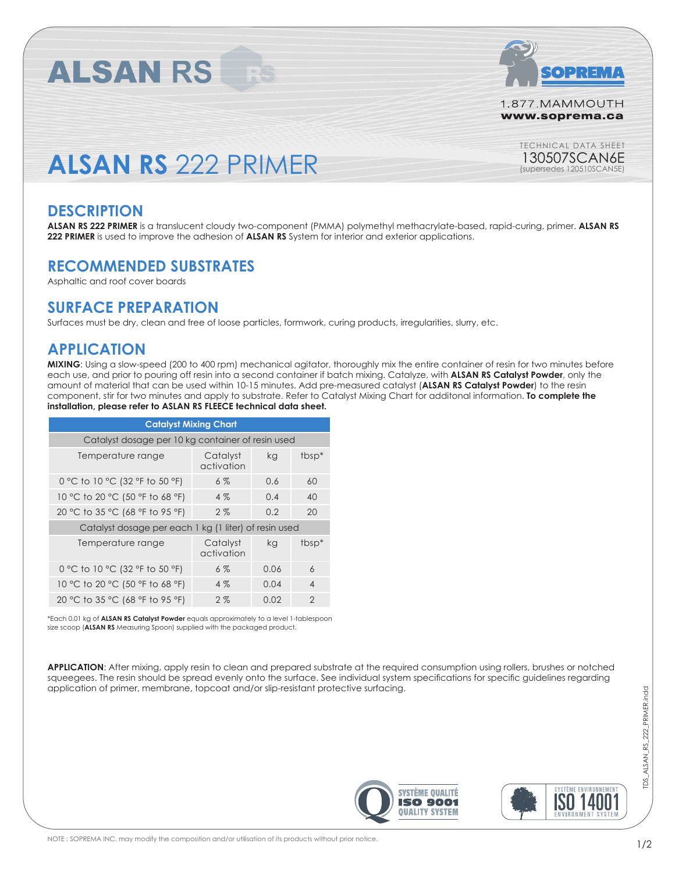

1.877.MAMMOUTH www.soprema.ca

> TECHNICAL DATA SHEET 130507SCAN6E

(supersedes 120510SCAN5E)

# **ALSAN RS** 222 PRIMER

#### **DESCRIPTION**

**ALSAN RS 222 PRIMER** is a translucent cloudy two-component (PMMA) polymethyl methacrylate-based, rapid-curing, primer. **ALSAN RS 222 PRIMER** is used to improve the adhesion of **ALSAN RS** System for interior and exterior applications.

## **RECOMMENDED SUBSTRATES**

**ALSAN RS** 

Asphaltic and roof cover boards

#### **SURFACE PREPARATION**

Surfaces must be dry, clean and free of loose particles, formwork, curing products, irregularities, slurry, etc.

#### **APPLICATION**

**MIXING**: Using a slow-speed (200 to 400 rpm) mechanical agitator, thoroughly mix the entire container of resin for two minutes before each use, and prior to pouring off resin into a second container if batch mixing. Catalyze, with **ALSAN RS Catalyst Powder**, only the amount of material that can be used within 10-15 minutes. Add pre-measured catalyst (**ALSAN RS Catalyst Powder**) to the resin component, stir for two minutes and apply to substrate. Refer to Catalyst Mixing Chart for additonal information. **To complete the installation, please refer to ASLAN RS FLEECE technical data sheet.**

| <b>Catalyst Mixing Chart</b>                          |                        |      |                   |  |  |
|-------------------------------------------------------|------------------------|------|-------------------|--|--|
| Catalyst dosage per 10 kg container of resin used     |                        |      |                   |  |  |
| Temperature range                                     | Catalyst<br>activation | kg   | tbsp <sup>*</sup> |  |  |
| 0 °C to 10 °C (32 °F to 50 °F)                        | $6\%$                  | 0.6  | 60                |  |  |
| 10 °C to 20 °C (50 °F to 68 °F)                       | $4\%$                  | 0.4  | 40                |  |  |
| 20 °C to 35 °C (68 °F to 95 °F)                       | 2%                     | 0.2  | 20                |  |  |
| Catalyst dosage per each 1 kg (1 liter) of resin used |                        |      |                   |  |  |
| Temperature range                                     | Catalyst<br>activation | kg   | tbsp <sup>*</sup> |  |  |
| 0 °C to 10 °C (32 °F to 50 °F)                        | $6\%$                  | 0.06 | $\overline{6}$    |  |  |
| 10 °C to 20 °C (50 °F to 68 °F)                       | $4\%$                  | 0.04 | $\overline{4}$    |  |  |
| 20 °C to 35 °C (68 °F to 95 °F)                       | 2%                     | 0.02 | $\mathcal{P}$     |  |  |

\*Each 0.01 kg of **ALSAN RS Catalyst Powder** equals approximately to a level 1-tablespoon size scoop (**ALSAN RS** Measuring Spoon) supplied with the packaged product.

**APPLICATION**: After mixing, apply resin to clean and prepared substrate at the required consumption using rollers, brushes or notched squeegees. The resin should be spread evenly onto the surface. See individual system specifications for specific guidelines regarding application of primer, membrane, topcoat and/or slip-resistant protective surfacing.





TDS\_ALSAN\_RS\_222\_PRIMER.indd

TDS ALSAN RS 222 PRIMER.indd